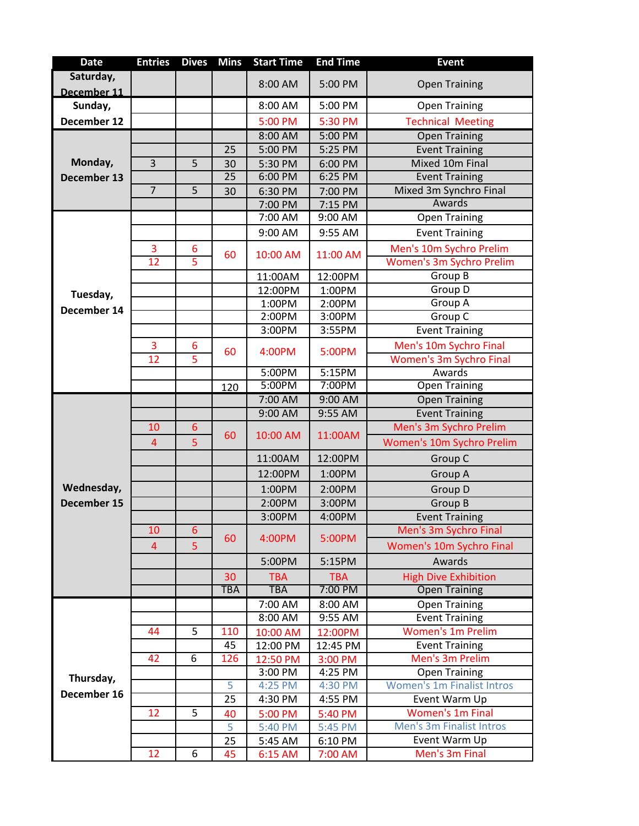| <b>Date</b> | <b>Entries</b> | <b>Dives</b> | <b>Mins</b> | <b>Start Time</b> | <b>End Time</b> | <b>Event</b>                      |
|-------------|----------------|--------------|-------------|-------------------|-----------------|-----------------------------------|
| Saturday,   |                |              |             | 8:00 AM           | 5:00 PM         | <b>Open Training</b>              |
| December 11 |                |              |             |                   |                 |                                   |
| Sunday,     |                |              |             | 8:00 AM           | 5:00 PM         | <b>Open Training</b>              |
| December 12 |                |              |             | 5:00 PM           | 5:30 PM         | <b>Technical Meeting</b>          |
|             |                |              |             | 8:00 AM           | 5:00 PM         | <b>Open Training</b>              |
|             |                |              | 25          | 5:00 PM           | 5:25 PM         | <b>Event Training</b>             |
| Monday,     | $\overline{3}$ | 5            | 30          | 5:30 PM           | 6:00 PM         | Mixed 10m Final                   |
| December 13 |                |              | 25          | 6:00 PM           | 6:25 PM         | <b>Event Training</b>             |
|             | $\overline{7}$ | 5            | 30          | 6:30 PM           | 7:00 PM         | Mixed 3m Synchro Final            |
|             |                |              |             | 7:00 PM           | 7:15 PM         | Awards                            |
|             |                |              |             | 7:00 AM           | 9:00 AM         | <b>Open Training</b>              |
|             |                |              |             | 9:00 AM           | 9:55 AM         | <b>Event Training</b>             |
|             | 3              | 6            |             |                   |                 | Men's 10m Sychro Prelim           |
|             | 12             | 5            | 60          | 10:00 AM          | 11:00 AM        | <b>Women's 3m Sychro Prelim</b>   |
|             |                |              |             | 11:00AM           | 12:00PM         | Group B                           |
|             |                |              |             | 12:00PM           | 1:00PM          | Group D                           |
| Tuesday,    |                |              |             | 1:00PM            | 2:00PM          | Group A                           |
| December 14 |                |              |             | 2:00PM            | 3:00PM          | Group C                           |
|             |                |              |             | 3:00PM            | 3:55PM          | <b>Event Training</b>             |
|             | 3              | 6            |             |                   |                 | Men's 10m Sychro Final            |
|             | 12             | 5            | 60          | 4:00PM            | 5:00PM          | Women's 3m Sychro Final           |
|             |                |              |             | 5:00PM            | 5:15PM          | Awards                            |
|             |                |              | 120         | 5:00PM            | 7:00PM          | <b>Open Training</b>              |
|             |                |              |             | 7:00 AM           | 9:00 AM         | Open Training                     |
|             |                |              |             | 9:00 AM           | 9:55 AM         | <b>Event Training</b>             |
|             | 10             | 6            |             |                   |                 | Men's 3m Sychro Prelim            |
|             | $\overline{4}$ | 5            | 60          | 10:00 AM          | 11:00AM         | Women's 10m Sychro Prelim         |
|             |                |              |             | 11:00AM           | 12:00PM         | Group C                           |
|             |                |              |             |                   | 1:00PM          |                                   |
| Wednesday,  |                |              |             | 12:00PM           |                 | Group A                           |
|             |                |              |             | 1:00PM            | 2:00PM          | Group D                           |
| December 15 |                |              |             | 2:00PM            | 3:00PM          | Group B                           |
|             |                |              |             | 3:00PM            | 4:00PM          | <b>Event Training</b>             |
|             | 10             | 6            | 60          | 4:00PM            | 5:00PM          | Men's 3m Sychro Final             |
|             | $\overline{4}$ | 5            |             |                   |                 | Women's 10m Sychro Final          |
|             |                |              |             | 5:00PM            | 5:15PM          | Awards                            |
|             |                |              | 30          | <b>TBA</b>        | <b>TBA</b>      | <b>High Dive Exhibition</b>       |
|             |                |              | <b>TBA</b>  | <b>TBA</b>        | 7:00 PM         | <b>Open Training</b>              |
|             |                |              |             | 7:00 AM           | 8:00 AM         | <b>Open Training</b>              |
|             |                |              |             | 8:00 AM           | $9:55$ AM       | <b>Event Training</b>             |
|             | 44             | 5            | 110         | 10:00 AM          | 12:00PM         | <b>Women's 1m Prelim</b>          |
|             |                |              | 45          | 12:00 PM          | 12:45 PM        | <b>Event Training</b>             |
|             | 42             | 6            | 126         | 12:50 PM          | 3:00 PM         | Men's 3m Prelim                   |
| Thursday,   |                |              |             | 3:00 PM           | 4:25 PM         | <b>Open Training</b>              |
| December 16 |                |              | 5           | 4:25 PM           | 4:30 PM         | <b>Women's 1m Finalist Intros</b> |
|             |                |              | 25          | 4:30 PM           | 4:55 PM         | Event Warm Up                     |
|             | 12             | 5            | 40          | 5:00 PM           | 5:40 PM         | <b>Women's 1m Final</b>           |
|             |                |              | 5           | 5:40 PM           | 5:45 PM         | Men's 3m Finalist Intros          |
|             |                |              | 25          | 5:45 AM           | 6:10 PM         | Event Warm Up                     |
|             | 12             | 6            | 45          | 6:15 AM           | 7:00 AM         | Men's 3m Final                    |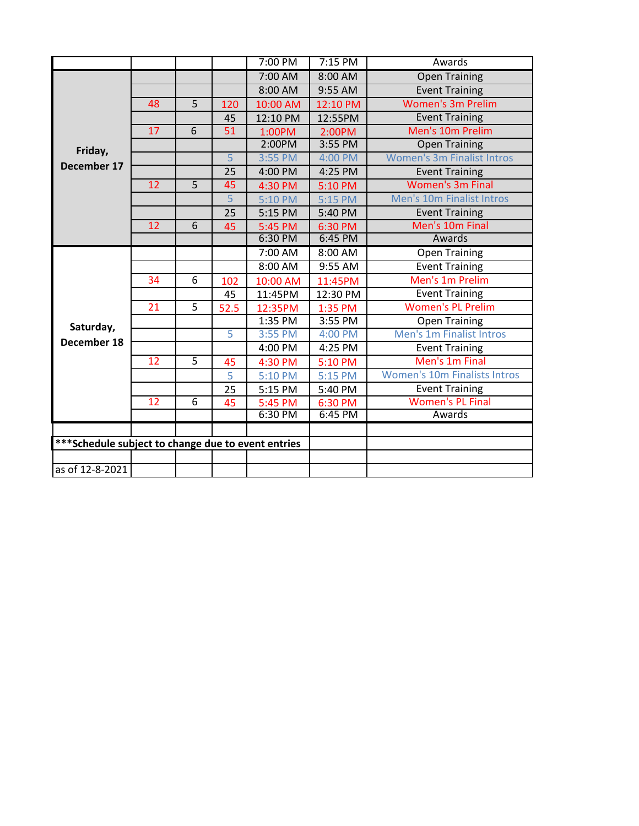|                                                     |    |   |                 | 7:00 PM  | $7:15$ PM | Awards                              |
|-----------------------------------------------------|----|---|-----------------|----------|-----------|-------------------------------------|
|                                                     |    |   |                 | 7:00 AM  | 8:00 AM   | <b>Open Training</b>                |
|                                                     |    |   |                 | 8:00 AM  | 9:55 AM   | <b>Event Training</b>               |
|                                                     | 48 | 5 | 120             | 10:00 AM | 12:10 PM  | <b>Women's 3m Prelim</b>            |
|                                                     |    |   | 45              | 12:10 PM | 12:55PM   | <b>Event Training</b>               |
|                                                     | 17 | 6 | 51              | 1:00PM   | 2:00PM    | Men's 10m Prelim                    |
| Friday,                                             |    |   |                 | 2:00PM   | 3:55 PM   | <b>Open Training</b>                |
|                                                     |    |   | 5               | 3:55 PM  | 4:00 PM   | <b>Women's 3m Finalist Intros</b>   |
| December 17                                         |    |   | $\overline{25}$ | 4:00 PM  | 4:25 PM   | <b>Event Training</b>               |
|                                                     | 12 | 5 | 45              | 4:30 PM  | 5:10 PM   | <b>Women's 3m Final</b>             |
|                                                     |    |   | 5               | 5:10 PM  | 5:15 PM   | Men's 10m Finalist Intros           |
|                                                     |    |   | 25              | 5:15 PM  | 5:40 PM   | <b>Event Training</b>               |
|                                                     | 12 | 6 | 45              | 5:45 PM  | 6:30 PM   | Men's 10m Final                     |
|                                                     |    |   |                 | 6:30 PM  | 6:45 PM   | Awards                              |
|                                                     |    |   |                 | 7:00 AM  | 8:00 AM   | <b>Open Training</b>                |
|                                                     |    |   |                 | 8:00 AM  | 9:55 AM   | <b>Event Training</b>               |
|                                                     | 34 | 6 | 102             | 10:00 AM | 11:45PM   | Men's 1m Prelim                     |
|                                                     |    |   | 45              | 11:45PM  | 12:30 PM  | <b>Event Training</b>               |
|                                                     | 21 | 5 | 52.5            | 12:35PM  | 1:35 PM   | <b>Women's PL Prelim</b>            |
| Saturday,                                           |    |   |                 | 1:35 PM  | 3:55 PM   | <b>Open Training</b>                |
| December 18                                         |    |   | 5               | 3:55 PM  | 4:00 PM   | <b>Men's 1m Finalist Intros</b>     |
|                                                     |    |   |                 | 4:00 PM  | 4:25 PM   | <b>Event Training</b>               |
|                                                     | 12 | 5 | 45              | 4:30 PM  | 5:10 PM   | Men's 1m Final                      |
|                                                     |    |   | 5               | 5:10 PM  | 5:15 PM   | <b>Women's 10m Finalists Intros</b> |
|                                                     |    |   | 25              | 5:15 PM  | 5:40 PM   | <b>Event Training</b>               |
|                                                     | 12 | 6 | 45              | 5:45 PM  | 6:30 PM   | <b>Women's PL Final</b>             |
|                                                     |    |   |                 | 6:30 PM  | 6:45 PM   | Awards                              |
|                                                     |    |   |                 |          |           |                                     |
| *** Schedule subject to change due to event entries |    |   |                 |          |           |                                     |
|                                                     |    |   |                 |          |           |                                     |
| as of 12-8-2021                                     |    |   |                 |          |           |                                     |